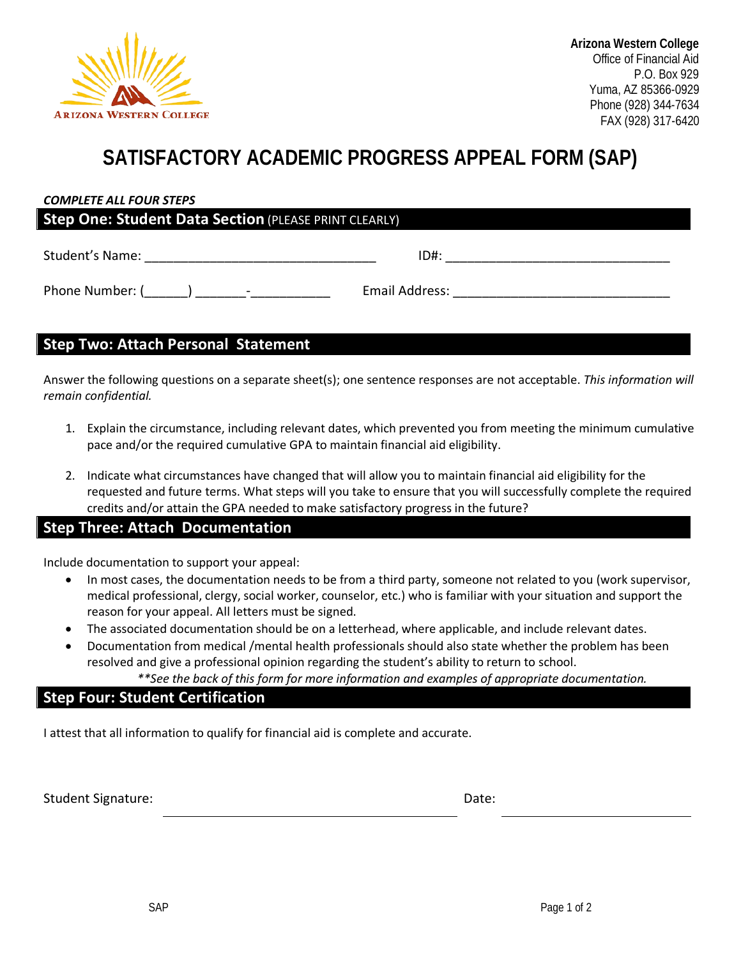

## **SATISFACTORY ACADEMIC PROGRESS APPEAL FORM (SAP)**

| <b>Step One: Student Data Section (PLEASE PRINT CLEARLY)</b> |                |  |  |
|--------------------------------------------------------------|----------------|--|--|
| Student's Name:                                              | $ID#$ :        |  |  |
| Phone Number: (<br>-                                         | Email Address: |  |  |

### **Step Two: Attach Personal Statement**

Answer the following questions on a separate sheet(s); one sentence responses are not acceptable. *This information will remain confidential.* 

- 1. Explain the circumstance, including relevant dates, which prevented you from meeting the minimum cumulative pace and/or the required cumulative GPA to maintain financial aid eligibility.
- 2. Indicate what circumstances have changed that will allow you to maintain financial aid eligibility for the requested and future terms. What steps will you take to ensure that you will successfully complete the required credits and/or attain the GPA needed to make satisfactory progress in the future?

#### **Step Three: Attach Documentation**

Include documentation to support your appeal:

- In most cases, the documentation needs to be from a third party, someone not related to you (work supervisor, medical professional, clergy, social worker, counselor, etc.) who is familiar with your situation and support the reason for your appeal. All letters must be signed.
- The associated documentation should be on a letterhead, where applicable, and include relevant dates.
- Documentation from medical /mental health professionals should also state whether the problem has been resolved and give a professional opinion regarding the student's ability to return to school.

*\*\*See the back of this form for more information and examples of appropriate documentation.*

#### **Step Four: Student Certification**

I attest that all information to qualify for financial aid is complete and accurate.

Student Signature: Date: Date: Date: Date: Date: Date: Date: Date: Date: Date: Date: Date: Date: Date: Date: Date: Date: Date: Date: Date: Date: Date: Date: Date: Date: Date: Date: Date: Date: Date: Date: Date: Date: Date: